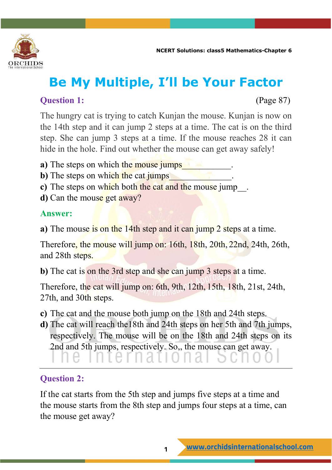

# **Be My Multiple, I'll be Your Factor**

#### **Ouestion 1:** (Page 87)

The hungry cat is trying to catch Kunjan the mouse. Kunjan is now on the 14th step and it can jump 2 steps at a time. The cat is on the third step. She can jump 3 steps at a time. If the mouse reaches 28 it can hide in the hole. Find out whether the mouse can get away safely!

- **a**) The steps on which the mouse jumps
- **b**) The steps on which the cat jumps
- **c**) The steps on which both the cat and the mouse jump .
- **d**) Can the mouse get away?

#### **Answer:**

**a**) The mouse is on the 14th step and it can jump 2 steps at a time.

Therefore, the mouse will jump on: 16th, 18th, 20th, 22nd, 24th, 26th, and 28th steps.

**b**) The cat is on the 3rd step and she can jump 3 steps at a time.

Therefore, the cat will jump on: 6th, 9th, 12th, 15th, 18th, 21st, 24th, 27th, and 30th steps.

- **c)** The cat and the mouse both jump on the 18th and 24th steps.
- **d)** The cat will reach the18th and 24th steps on her 5th and 7th jumps, respectively. The mouse will be on the 18th and 24th steps on its 2nd and 5th jumps, respectively. So,, the mouse can get away.

### $\overline{\phantom{0}}$

### **Question 2:**

If the cat starts from the 5th step and jumps five steps at a time and the mouse starts from the 8th step and jumps four steps at a time, can the mouse get away?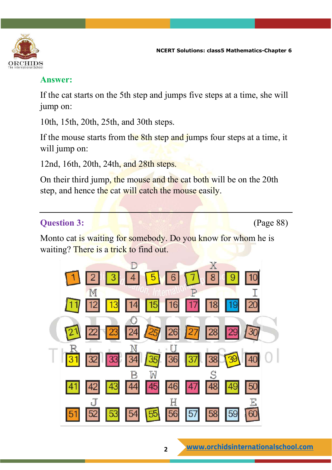

#### **Answer:**

If the cat starts on the 5th step and jumps five steps at a time, she will jump on:

10th, 15th, 20th, 25th, and 30th steps.

If the mouse starts from the 8th step and jumps four steps at a time, it will jump on:

12nd, 16th, 20th, 24th, and 28th steps.

On their third jump, the mouse and the cat both will be on the 20th step, and hence the cat will catch the mouse easily.

#### **Question 3:** (Page 88)

Monto cat is waiting for somebody. Do you know for whom he is waiting? There is a trick to find out.

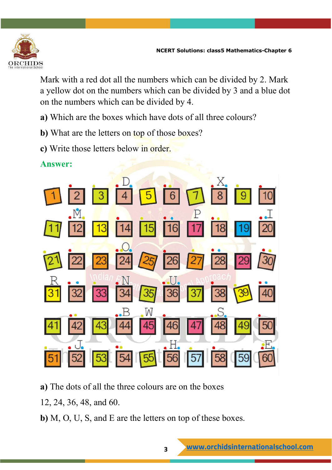

Mark with a red dot all the numbers which can be divided by 2. Mark a yellow dot on the numbers which can be divided by 3 and a blue dot on the numbers which can be divided by 4.

- **a)** Which are the boxes which have dots of all three colours?
- **b)** What are the letters on top of those boxes?
- **c)** Write those letters below in order.
- **Answer:**



- **a)** The dots of all the three colours are on the boxes
- 12, 24, 36, 48, and 60.
- **b)** M, O, U, S, and E are the letters on top of these boxes.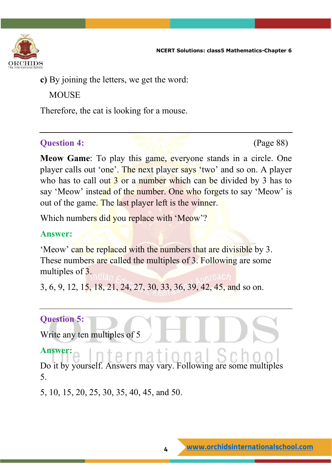

**c)** By joining the letters, we get the word:

**MOUSE** 

Therefore, the cat is looking for a mouse.

#### **Question 4:** (Page 88)

**Meow Game**: To play this game, everyone stands in a circle. One player calls out 'one'. The next player says 'two' and so on. A player who has to call out  $\frac{3}{3}$  or a number which can be divided by  $\frac{3}{3}$  has to say 'Meow' instead of the number. One who forgets to say 'Meow' is out of the game. The last player left is the winner.

Which numbers did you replace with 'Meow'?

#### **Answer:**

'Meow' can be replaced with the numbers that are divisible by 3. These numbers are called the multiples of 3. Following are some multiples of 3.

3, 6, 9, 12, 15, 18, 21, 24, 27, 30, 33, 36, 39, 42, 45, and so on.

#### **Question 5:**

Write any ten multiples of 5

#### **Answer:** : וגמנ 12 T

Do it by yourself. Answers may vary. Following are some multiples 5.

5, 10, 15, 20, 25, 30, 35, 40, 45, and 50.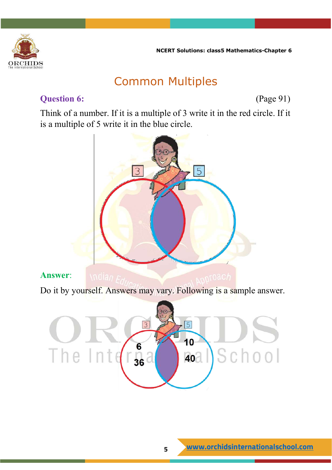

### Common Multiples

#### **Question 6:** (Page 91)

Think of a number. If it is a multiple of 3 write it in the red circle. If it is a multiple of 5 write it in the blue circle.

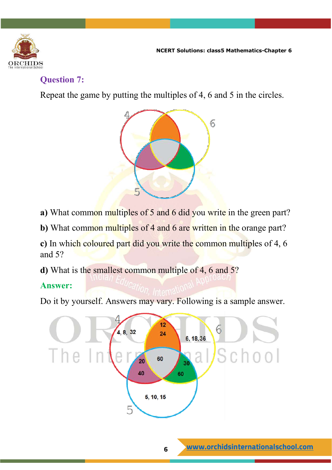

#### **Question 7:**

Repeat the game by putting the multiples of 4, 6 and 5 in the circles.



- **a)** What common multiples of 5 and 6 did you write in the green part?
- **b**) What common multiples of 4 and 6 are written in the orange part?

**c)** In which coloured part did you write the common multiples of 4, 6 and 5?

**d)** What is the smallest common multiple of 4, 6 and 5?

#### **Answer:**

Do it by yourself. Answers may vary. Following is a sample answer.

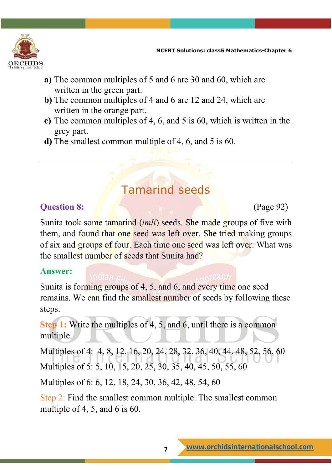

- **a)** The common multiples of 5 and 6 are 30 and 60, which are written in the green part.
- **b)** The common multiples of 4 and 6 are 12 and 24, which are written in the orange part.
- **c)** The common multiples of 4, 6, and 5 is 60, which is written in the grey part.
- **d)** The smallest common multiple of 4, 6, and 5 is 60.

### Tamarind seeds

#### **Question 8:** (Page 92)

Sunita took some tamarind (*imli*) seeds. She made groups of five with them, and found that one seed was left over. She tried making groups of six and groups of four. Each time one seed was left over. What was the smallest number of seeds that Sunita had?

#### **Answer:**

Sunita is forming groups of 4, 5, and 6, and every time one seed remains. We can find the smallest number of seeds by following these steps.

**Step 1:** Write the multiples of 4, 5, and 6, until there is a common multiple.

Multiples of 4: 4, 8, 12, 16, 20, 24, 28, 32, 36, 40, 44, 48, 52, 56, 60 Multiples of 5: 5, 10, 15, 20, 25, 30, 35, 40, 45, 50, 55, 60

Multiples of 6: 6, 12, 18, 24, 30, 36, 42, 48, 54, 60

Step 2: Find the smallest common multiple. The smallest common multiple of 4, 5, and 6 is 60.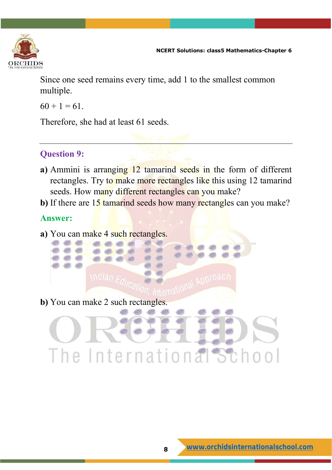

Since one seed remains every time, add 1 to the smallest common multiple.

 $60 + 1 = 61$ .

Therefore, she had at least 61 seeds.

#### **Question 9:**

- **a)** Ammini is arranging 12 tamarind seeds in the form of different rectangles. Try to make more rectangles like this using 12 tamarind seeds. How many different rectangles can you make?
- **b**) If there are 15 tamarind seeds how many rectangles can you make?

#### **Answer:**

**a**) You can make 4 such rectangles.

**b**) You can make 2 such rectangles.

The International School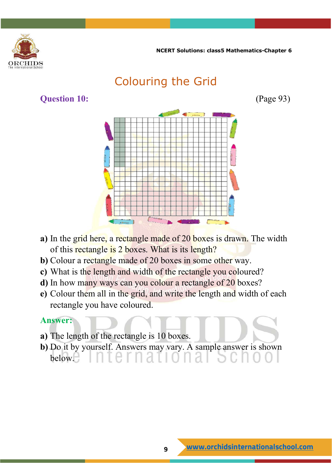



- **a)** In the grid here, a rectangle made of 20 boxes is drawn. The width of this rectangle is 2 boxes. What is its length?
- **b)** Colour a rectangle made of 20 boxes in some other way.
- **c)** What is the length and width of the rectangle you coloured?
- **d)** In how many ways can you colour a rectangle of 20 boxes?
- **e)** Colour them all in the grid, and write the length and width of each rectangle you have coloured.

#### **Answer:**

- **a)** The length of the rectangle is 10 boxes.
- **b)** Do it by yourself. Answers may vary. A sample answer is shown below. $\parallel$  d  $\parallel$  d  $\parallel$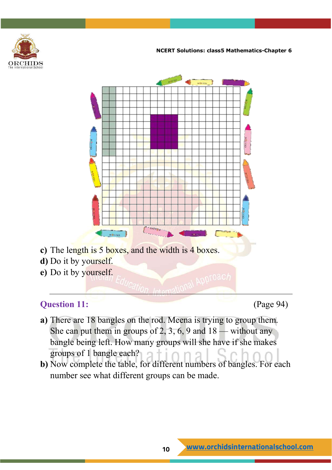



- **c)** The length is 5 boxes, and the width is 4 boxes.
- **d)** Do it by yourself.
- **e)** Do it by yourself.

#### **Question 11:** (Page 94)

- **a)** There are 18 bangles on the rod. Meena is trying to group them. She can put them in groups of 2, 3, 6, 9 and  $18$  — without any bangle being left. How many groups will she have if she makes groups of 1 bangle each?
- **b)** Now complete the table, for different numbers of bangles. For each number see what different groups can be made.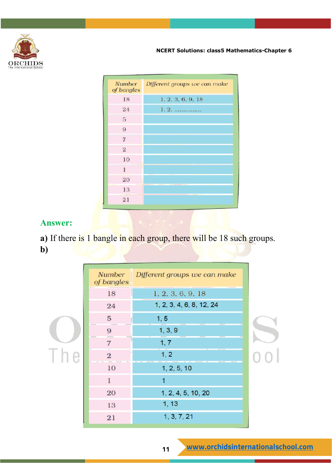

| Number<br>of bangles | Different groups we can make |
|----------------------|------------------------------|
| 18                   | 1, 2, 3, 6, 9, 18            |
| 24                   | 1.2.                         |
| 5                    |                              |
| 9                    |                              |
| $\overline{7}$       |                              |
| $\mathbf{2}$         |                              |
| 10                   |                              |
| 1                    |                              |
| 20                   |                              |
| 13                   |                              |
| 21                   |                              |

#### **Answer:**

**a**) If there is 1 bangle in each group, there will be 18 such groups. **b)**

| <b>Number</b><br>of bangles | Different groups we can make |  |
|-----------------------------|------------------------------|--|
| 18                          | 1, 2, 3, 6, 9, 18            |  |
| 24                          | 1, 2, 3, 4, 6, 8, 12, 24     |  |
| 5                           | 1, 5                         |  |
| $\boldsymbol{9}$            | 1, 3, 9                      |  |
| $\sqrt{7}$                  | 1, 7                         |  |
| $\overline{2}$              | 1, 2                         |  |
| 10                          | 1, 2, 5, 10                  |  |
| $\mathbf{1}$                | 1                            |  |
| 20                          | 1, 2, 4, 5, 10, 20           |  |
| 13                          | 1, 13                        |  |
| 21                          | 1, 3, 7, 21                  |  |
|                             |                              |  |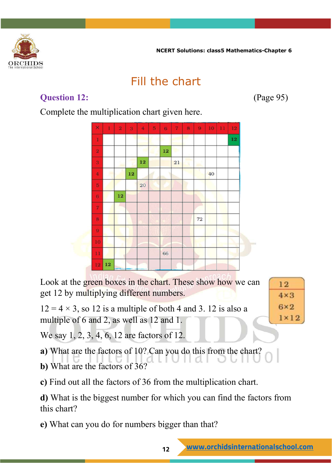

## Fill the chart

#### **Question 12:** (Page 95)

 $12$ 

 $4 \times 3$ 

 $6\times 2$ 

 $1 \times 12$ 

Complete the multiplication chart given here.



Look at the green boxes in the chart. These show how we can get 12 by multiplying different numbers.

 $12 = 4 \times 3$ , so 12 is a multiple of both 4 and 3. 12 is also a multiple of 6 and 2, as well as 12 and 1.

We say 1, 2, 3, 4, 6, 12 are factors of 12.

**a)** What are the factors of 10? Can you do this from the chart?

**b)** What are the factors of 36?

**c)** Find out all the factors of 36 from the multiplication chart.

**d)** What is the biggest number for which you can find the factors from this chart?

**e)** What can you do for numbers bigger than that?